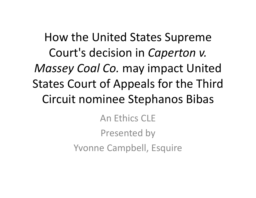How the United States Supreme Court's decision in *Caperton v. Massey Coal Co.* may impact United States Court of Appeals for the Third Circuit nominee Stephanos Bibas

An Ethics CLE

Presented by

Yvonne Campbell, Esquire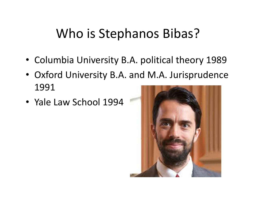### Who is Stephanos Bibas?

- Columbia University B.A. political theory 1989
- Oxford University B.A. and M.A. Jurisprudence 1991
- Yale Law School 1994

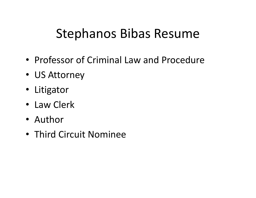### Stephanos Bibas Resume

- Professor of Criminal Law and Procedure
- US Attorney
- Litigator
- Law Clerk
- Author
- Third Circuit Nominee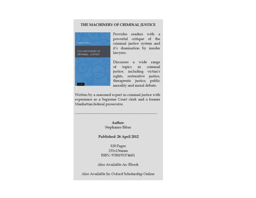#### THE MACHINERY OF CRIMINAL JUSTICE



Provides readers with a powerful critique of the criminal justice system and it's domination by insider lawyers.

Discusses a wide range topics in criminal οf justice, including victim's rights, restorative justice, therapeutic justice, public morality and moral debate.

Written by a seasoned expert in criminal justice with experience as a Supreme Court clerk and a former Manhattan federal prosecutor.

> Author: Stephanos Bibas

Published: 26 April 2012

320 Pages 235x156mm ISBN: 9780195374681

Also Available As: Ebook

Also Available In: Oxford Scholarship Online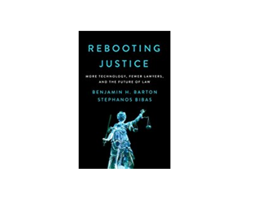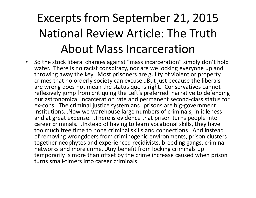# Excerpts from September 21, 2015 National Review Article: The Truth About Mass Incarceration

• So the stock liberal charges against "mass incarceration" simply don't hold water. There is no racist conspiracy, nor are we locking everyone up and throwing away the key. Most prisoners are guilty of violent or property crimes that no orderly society can excuse…But just because the liberals are wrong does not mean the status quo is right. Conservatives cannot reflexively jump from critiquing the Left's preferred narrative to defending our astronomical incarceration rate and permanent second‐class status for ex‐cons. The criminal justice system and prisons are big‐government institutions…Now we warehouse large numbers of criminals, in idleness and at great expense. ..There is evidence that prison turns people into career criminals. ..Instead of having to learn vocational skills, they have too much free time to hone criminal skills and connections. And instead of removing wrongdoers from criminogenic environments, prison clusters together neophytes and experienced recidivists, breeding gangs, criminal networks and more crime…Any benefit from locking criminals up temporarily is more than offset by the crime increase caused when prison turns small‐timers into career criminals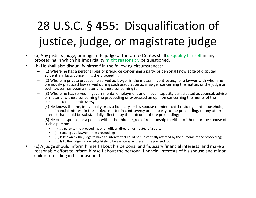# 28 U.S.C. § 455: Disqualification of justice, judge, or magistrate judge

- • (a) Any justice, judge, or magistrate judge of the United States shall disqualify himself in any proceeding in which his impartiality might reasonably be questioned.
- • (b) He shall also disqualify himself in the following circumstances:
	- (1) Where he has a personal bias or prejudice concerning a party, or personal knowledge of disputed evidentiary facts concerning the proceeding;
	- (2) Where in private practice he served as lawyer in the matter in controversy, or a lawyer with whom he previously practiced law served during such association as a lawyer concerning the matter, or the judge or such lawyer has been a material witness concerning it;
	- (3) Where he has served in governmental employment and in such capacity participated as counsel, adviser or material witness concerning the proceeding or expressed an opinion concerning the merits of the particular case in controversy;
	- (4) He knows that he, individually or as a fiduciary, or his spouse or minor child residing in his household, has a financial interest in the subject matter in controversy or in a party to the proceeding, or any other interest that could be substantially affected by the outcome of the proceeding;
	- (5) He or his spouse, or a person within the third degree of relationship to either of them, or the spouse of such a person:
		- (i) Is a party to the proceeding, or an officer, director, or trustee of a party;
		- (ii) Is acting as a lawyer in the proceeding;
		- (iii) Is known by the judge to have an interest that could be substantially affected by the outcome of the proceeding;
		- (iv) Is to the judge's knowledge likely to be a material witness in the proceeding.
- • (c) A judge should inform himself about his personal and fiduciary financial interests, and make a reasonable effort to inform himself about the personal financial interests of his spouse and minor children residing in his household.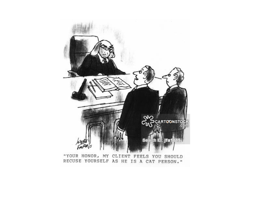

"YOUR HONOR, MY CLIENT FEELS YOU SHOULD RECUSE YOURSELF AS HE IS A CAT PERSON."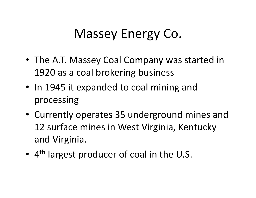# Massey Energy Co.

- The A.T. Massey Coal Company was started in 1920 as a coal brokering business
- In 1945 it expanded to coal mining and processing
- Currently operates 35 underground mines and 12 surface mines in West Virginia, Kentucky and Virginia.
- •• 4<sup>th</sup> largest producer of coal in the U.S.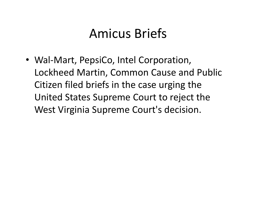### Amicus Briefs

• Wal‐Mart, PepsiCo, Intel Corporation, Lockheed Martin, Common Cause and Public Citizen filed briefs in the case urging the United States Supreme Court to reject the West Virginia Supreme Court's decision.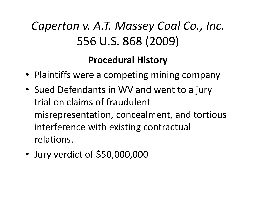### **Procedural History**

- Plaintiffs were a competing mining company
- Sued Defendants in WV and went to a jury trial on claims of fraudulent misrepresentation, concealment, and tortious interference with existing contractual relations.
- •Jury verdict of \$50,000,000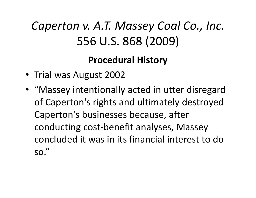### **Procedural History**

- Trial was August 2002
- "Massey intentionally acted in utter disregard of Caperton's rights and ultimately destroyed Caperton's businesses because, after conducting cost‐benefit analyses, Massey concluded it was in its financial interest to do so."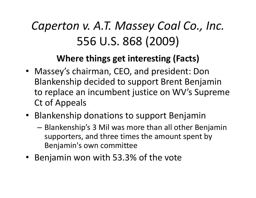### **Where things get interesting (Facts)**

- Massey's chairman, CEO, and president: Don Blankenship decided to support Brent Benjamin to replace an incumbent justice on WV's Supreme Ct of Appeals
- Blankenship donations to support Benjamin
	- – Blankenship's 3 Mil was more than all other Benjamin supporters, and three times the amount spent by Benjamin's own committee
- Benjamin won with 53.3% of the vote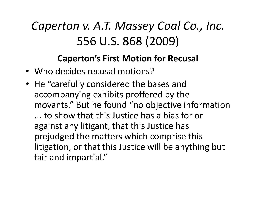#### **Caperton's First Motion for Recusal**

- Who decides recusal motions?
- He "carefully considered the bases and accompanying exhibits proffered by the movants." But he found "no objective information ... to show that this Justice has a bias for or against any litigant, that this Justice has prejudged the matters which comprise this litigation, or that this Justice will be anything but fair and impartial."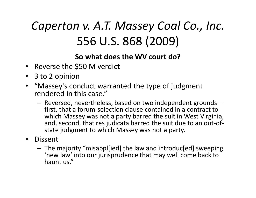#### **So what does the WV court do?**

- Reverse the \$50 M verdict
- 3 to 2 opinion
- "Massey's conduct warranted the type of judgment rendered in this case."
	- – Reversed, nevertheless, based on two independent grounds first, that a forum‐selection clause contained in a contract to which Massey was not a party barred the suit in West Virginia, and, second, that res judicata barred the suit due to an out‐of ‐ state judgment to which Massey was not a party.
- Dissent
	- – The majority "misappl[ied] the law and introduc[ed] sweeping 'new law' into our jurisprudence that may well come back to haunt us."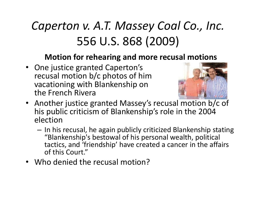#### **Motion for rehearing and more recusal motions**

• One justice granted Caperton's recusal motion b/c photos of him vacationing with Blankenship on the French Rivera



- Another justice granted Massey's recusal motion b/c of his public criticism of Blankenship's role in the 2004 election
	- $-$  In his recusal, he again publicly criticized Blankenship stating  $\,$ "Blankenship's bestowal of his personal wealth, political tactics, and 'friendship' have created a cancer in the affairs of this Court."
- •Who denied the recusal motion?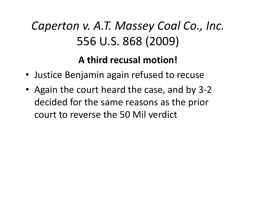### **A third recusal motion!**

- Justice Benjamin again refused to recuse
- Again the court heard the case, and by 3‐2 decided for the same reasons as the prior court to reverse the 50 Mil verdict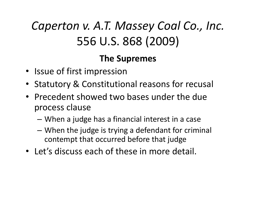#### **The Supremes**

- Issue of first impression
- Statutory & Constitutional reasons for recusal
- Precedent showed two bases under the due process clause
	- –When a judge has a financial interest in a case
	- – When the judge is trying a defendant for criminal contempt that occurred before that judge
- Let's discuss each of these in more detail.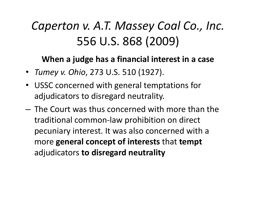#### **When a judge has a financial interest in a case**

- *Tumey v. Ohio*, 273 U.S. 510 (1927).
- USSC concerned with general temptations for adjudicators to disregard neutrality.
- The Court was thus concerned with more than the traditional common‐law prohibition on direct pecuniary interest. It was also concerned with a more **general concept of interests** that **tempt** adjudicators **to disregard neutrality**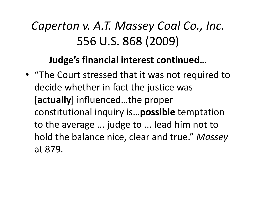### **Judge's financial interest continued…**

• "The Court stressed that it was not required to decide whether in fact the justice was [**actually**] influenced…the proper constitutional inquiry is…**possible** temptation to the average ... judge to ... lead him not to hold the balance nice, clear and true." *Massey*  at 879.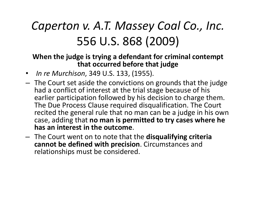#### **When the judge is trying a defendant for criminal contempt that occurred before that judge**

- *In re Murchison*, 349 U.S. 133, (1955).
- The Court set aside the convictions on grounds that the judge had a conflict of interest at the trial stage because of his earlier participation followed by his decision to charge them. The Due Process Clause required disqualification. The Court recited the general rule that no man can be a judge in his own case, adding that **no man is permitted to try cases where he has an interest in the outcome**.
- The Court went on to note that the **disqualifying criteria cannot be defined with precision**. Circumstances and relationships must be considered.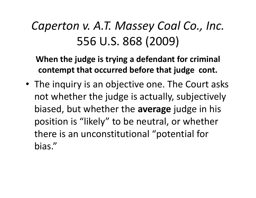**When the judge is trying a defendant for criminal contempt that occurred before that judge cont.**

• The inquiry is an objective one. The Court asks not whether the judge is actually, subjectively biased, but whether the **average** judge in his position is "likely" to be neutral, or whether there is an unconstitutional "potential for bias."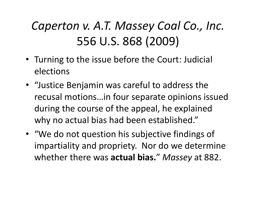- Turning to the issue before the Court: Judicial elections
- "Justice Benjamin was careful to address the recusal motions…in four separate opinions issued during the course of the appeal, he explained why no actual bias had been established."
- "We do not question his subjective findings of impartiality and propriety. Nor do we determine whether there was **actual bias.**" *Massey* at 882.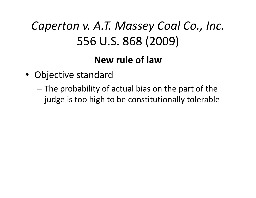### **New rule of law**

- Objective standard
	- – The probability of actual bias on the part of the judge is too high to be constitutionally tolerable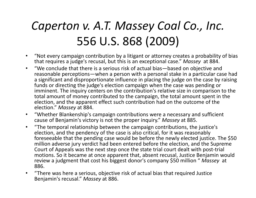- $\bullet$  "Not every campaign contribution by a litigant or attorney creates a probability of bias that requires a judge's recusal, but this is an exceptional case." *Massey*  at 884.
- $\bullet$  "We conclude that there is a serious risk of actual bias—based on objective and reasonable perceptions—when a person with a personal stake in a particular case had a significant and disproportionate influence in placing the judge on the case by raising funds or directing the judge's election campaign when the case was pending or imminent. The inquiry centers on the contribution's relative size in comparison to the total amount of money contributed to the campaign, the total amount spent in the election, and the apparent effect such contribution had on the outcome of the election." *Massey* at 884.
- $\bullet$  "Whether Blankenship's campaign contributions were a necessary and sufficient cause of Benjamin's victory is not the proper inquiry." *Massey* at 885.
- $\bullet$  "The temporal relationship between the campaign contributions, the justice's election, and the pendency of the case is also critical, for it was reasonably foreseeable that the pending case would be before the newly elected justice. The \$50 million adverse jury verdict had been entered before the election, and the Supreme Court of Appeals was the next step once the state trial court dealt with post‐trial motions. So it became at once apparent that, absent recusal, Justice Benjamin would review a judgment that cost his biggest donor's company \$50 million " *Massey*  at 886.
- $\bullet$  "There was here a serious, objective risk of actual bias that required Justice Benjamin's recusal." *Massey* at 886.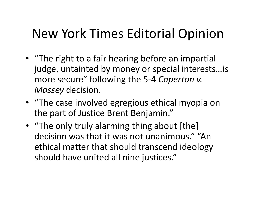# New York Times Editorial Opinion

- "The right to a fair hearing before an impartial judge, untainted by money or special interests…is more secure" following the 5‐4 *Caperton v. Massey* decision.
- "The case involved egregious ethical myopia on the part of Justice Brent Benjamin."
- "The only truly alarming thing about [the] decision was that it was not unanimous." "An ethical matter that should transcend ideology should have united all nine justices."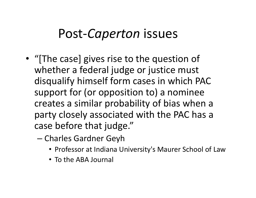### Post‐*Caperton* issues

- "[The case] gives rise to the question of whether a federal judge or justice must disqualify himself form cases in which PAC support for (or opposition to) a nominee creates a similar probability of bias when a party closely associated with the PAC has a case before that judge."
	- Charles Gardner Geyh
		- Professor at Indiana University's Maurer School of Law
		- To the ABA Journal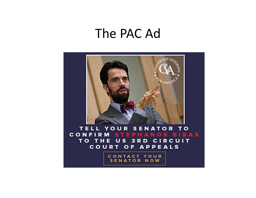### The PAC Ad

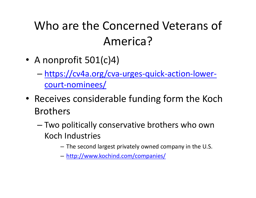# Who are the Concerned Veterans of America?

- A nonprofit 501(c)4)
	- – https://cv4a.org/cva‐urges‐quick‐action‐lower‐ court‐nominees/
- Receives considerable funding form the Koch Brothers
	- – Two politically conservative brothers who own Koch Industries
		- The second largest privately owned company in the U.S.
		- http://www.kochind.com/companies/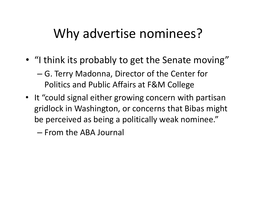### Why advertise nominees?

- "I think its probably to get the Senate moving"
	- – G. Terry Madonna, Director of the Center for Politics and Public Affairs at F&M College
- It "could signal either growing concern with partisan gridlock in Washington, or concerns that Bibas might be perceived as being a politically weak nominee."
	- From the ABA Journal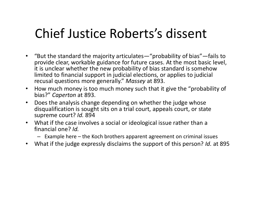### Chief Justice Roberts's dissent

- "But the standard the majority articulates—"probability of bias"—fails to provide clear, workable guidance for future cases. At the most basic level, it is unclear whether the new probability of bias standard is somehow limited to financial support in judicial elections, or applies to judicial recusal questions more generally." *Massey* at 893.
- • How much money is too much money such that it give the "probability of bias?" *Caperton* at 893.
- $\bullet$  Does the analysis change depending on whether the judge whose disqualification is sought sits on a trial court, appeals court, or state supreme court? *Id.* 894
- What if the case involves a social or ideological issue rather than a financial one? *Id.* 
	- Example here the Koch brothers apparent agreement on criminal issues
- $\bullet$ What if the judge expressly disclaims the support of this person? *Id.* at 895